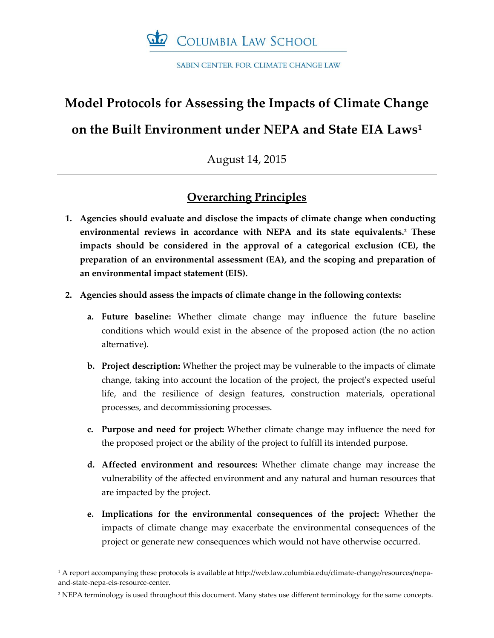

SABIN CENTER FOR CLIMATE CHANGE LAW

# **Model Protocols for Assessing the Impacts of Climate Change on the Built Environment under NEPA and State EIA Laws<sup>1</sup>**

August 14, 2015

# **Overarching Principles**

- **1. Agencies should evaluate and disclose the impacts of climate change when conducting environmental reviews in accordance with NEPA and its state equivalents.<sup>2</sup> These impacts should be considered in the approval of a categorical exclusion (CE), the preparation of an environmental assessment (EA), and the scoping and preparation of an environmental impact statement (EIS).**
- **2. Agencies should assess the impacts of climate change in the following contexts:**
	- **a. Future baseline:** Whether climate change may influence the future baseline conditions which would exist in the absence of the proposed action (the no action alternative).
	- **b. Project description:** Whether the project may be vulnerable to the impacts of climate change, taking into account the location of the project, the project's expected useful life, and the resilience of design features, construction materials, operational processes, and decommissioning processes.
	- **c. Purpose and need for project:** Whether climate change may influence the need for the proposed project or the ability of the project to fulfill its intended purpose.
	- **d. Affected environment and resources:** Whether climate change may increase the vulnerability of the affected environment and any natural and human resources that are impacted by the project.
	- **e. Implications for the environmental consequences of the project:** Whether the impacts of climate change may exacerbate the environmental consequences of the project or generate new consequences which would not have otherwise occurred.

1

<sup>1</sup> A report accompanying these protocols is available at http://web.law.columbia.edu/climate-change/resources/nepaand-state-nepa-eis-resource-center.

<sup>&</sup>lt;sup>2</sup> NEPA terminology is used throughout this document. Many states use different terminology for the same concepts.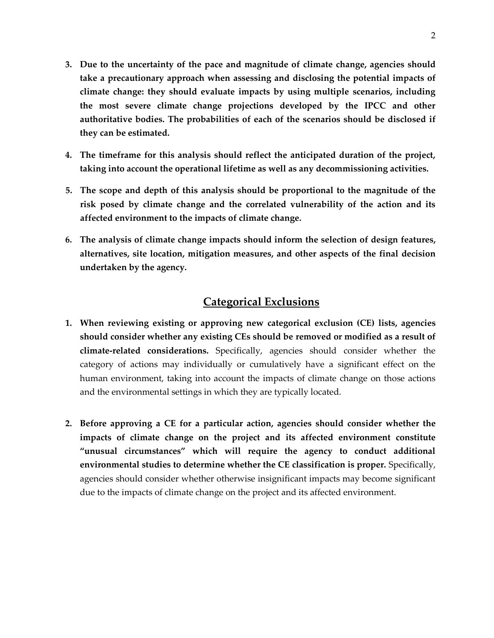- **3. Due to the uncertainty of the pace and magnitude of climate change, agencies should take a precautionary approach when assessing and disclosing the potential impacts of climate change: they should evaluate impacts by using multiple scenarios, including the most severe climate change projections developed by the IPCC and other authoritative bodies. The probabilities of each of the scenarios should be disclosed if they can be estimated.**
- **4. The timeframe for this analysis should reflect the anticipated duration of the project, taking into account the operational lifetime as well as any decommissioning activities.**
- **5. The scope and depth of this analysis should be proportional to the magnitude of the risk posed by climate change and the correlated vulnerability of the action and its affected environment to the impacts of climate change.**
- **6. The analysis of climate change impacts should inform the selection of design features, alternatives, site location, mitigation measures, and other aspects of the final decision undertaken by the agency.**

# **Categorical Exclusions**

- **1. When reviewing existing or approving new categorical exclusion (CE) lists, agencies should consider whether any existing CEs should be removed or modified as a result of climate-related considerations.** Specifically, agencies should consider whether the category of actions may individually or cumulatively have a significant effect on the human environment, taking into account the impacts of climate change on those actions and the environmental settings in which they are typically located.
- **2. Before approving a CE for a particular action, agencies should consider whether the impacts of climate change on the project and its affected environment constitute "unusual circumstances" which will require the agency to conduct additional environmental studies to determine whether the CE classification is proper.** Specifically, agencies should consider whether otherwise insignificant impacts may become significant due to the impacts of climate change on the project and its affected environment.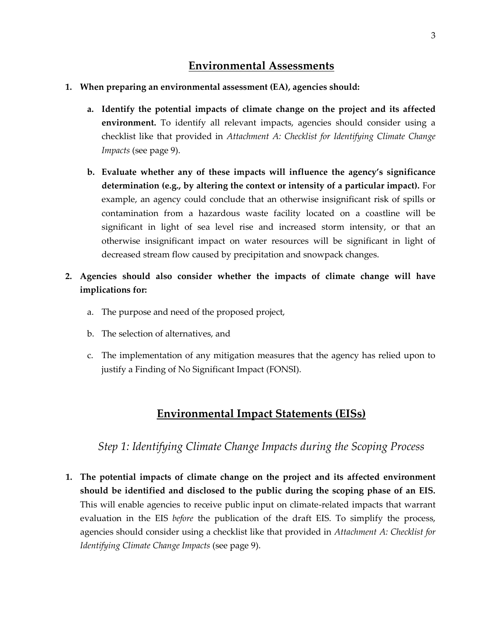# **Environmental Assessments**

- **1. When preparing an environmental assessment (EA), agencies should:**
	- **a. Identify the potential impacts of climate change on the project and its affected environment.** To identify all relevant impacts, agencies should consider using a checklist like that provided in *Attachment A: Checklist for Identifying Climate Change Impacts* (see page 9).
	- **b. Evaluate whether any of these impacts will influence the agency's significance determination (e.g., by altering the context or intensity of a particular impact).** For example, an agency could conclude that an otherwise insignificant risk of spills or contamination from a hazardous waste facility located on a coastline will be significant in light of sea level rise and increased storm intensity, or that an otherwise insignificant impact on water resources will be significant in light of decreased stream flow caused by precipitation and snowpack changes.
- **2. Agencies should also consider whether the impacts of climate change will have implications for:**
	- a. The purpose and need of the proposed project,
	- b. The selection of alternatives, and
	- c. The implementation of any mitigation measures that the agency has relied upon to justify a Finding of No Significant Impact (FONSI).

# **Environmental Impact Statements (EISs)**

*Step 1: Identifying Climate Change Impacts during the Scoping Process*

**1. The potential impacts of climate change on the project and its affected environment should be identified and disclosed to the public during the scoping phase of an EIS.**  This will enable agencies to receive public input on climate-related impacts that warrant evaluation in the EIS *before* the publication of the draft EIS. To simplify the process, agencies should consider using a checklist like that provided in *Attachment A: Checklist for Identifying Climate Change Impacts* (see page 9).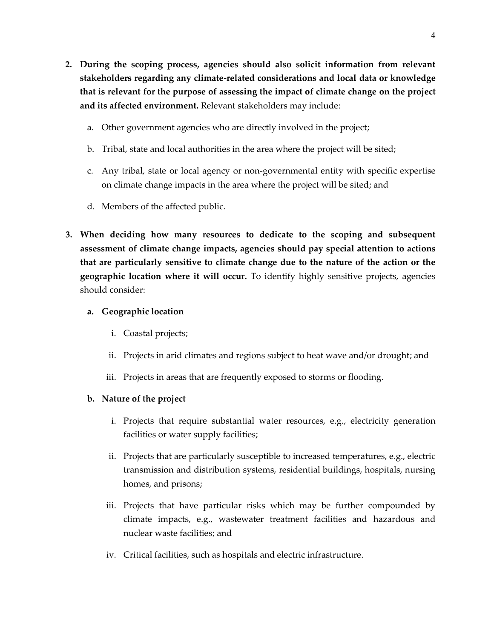- **2. During the scoping process, agencies should also solicit information from relevant stakeholders regarding any climate-related considerations and local data or knowledge that is relevant for the purpose of assessing the impact of climate change on the project and its affected environment.** Relevant stakeholders may include:
	- a. Other government agencies who are directly involved in the project;
	- b. Tribal, state and local authorities in the area where the project will be sited;
	- c. Any tribal, state or local agency or non-governmental entity with specific expertise on climate change impacts in the area where the project will be sited; and
	- d. Members of the affected public.
- **3. When deciding how many resources to dedicate to the scoping and subsequent assessment of climate change impacts, agencies should pay special attention to actions that are particularly sensitive to climate change due to the nature of the action or the geographic location where it will occur.** To identify highly sensitive projects, agencies should consider:

#### **a. Geographic location**

- i. Coastal projects;
- ii. Projects in arid climates and regions subject to heat wave and/or drought; and
- iii. Projects in areas that are frequently exposed to storms or flooding.

#### **b. Nature of the project**

- i. Projects that require substantial water resources, e.g., electricity generation facilities or water supply facilities;
- ii. Projects that are particularly susceptible to increased temperatures, e.g., electric transmission and distribution systems, residential buildings, hospitals, nursing homes, and prisons;
- iii. Projects that have particular risks which may be further compounded by climate impacts, e.g., wastewater treatment facilities and hazardous and nuclear waste facilities; and
- iv. Critical facilities, such as hospitals and electric infrastructure.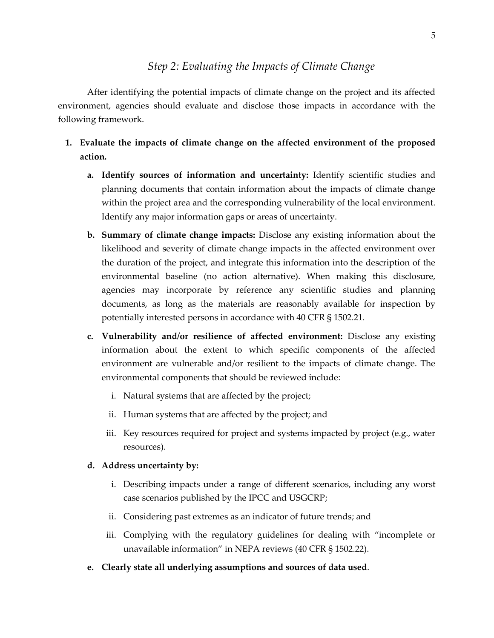### *Step 2: Evaluating the Impacts of Climate Change*

After identifying the potential impacts of climate change on the project and its affected environment, agencies should evaluate and disclose those impacts in accordance with the following framework.

- **1. Evaluate the impacts of climate change on the affected environment of the proposed action.** 
	- **a. Identify sources of information and uncertainty:** Identify scientific studies and planning documents that contain information about the impacts of climate change within the project area and the corresponding vulnerability of the local environment. Identify any major information gaps or areas of uncertainty.
	- **b. Summary of climate change impacts:** Disclose any existing information about the likelihood and severity of climate change impacts in the affected environment over the duration of the project, and integrate this information into the description of the environmental baseline (no action alternative). When making this disclosure, agencies may incorporate by reference any scientific studies and planning documents, as long as the materials are reasonably available for inspection by potentially interested persons in accordance with 40 CFR § 1502.21.
	- **c. Vulnerability and/or resilience of affected environment:** Disclose any existing information about the extent to which specific components of the affected environment are vulnerable and/or resilient to the impacts of climate change. The environmental components that should be reviewed include:
		- i. Natural systems that are affected by the project;
		- ii. Human systems that are affected by the project; and
		- iii. Key resources required for project and systems impacted by project (e.g., water resources).

#### **d. Address uncertainty by:**

- i. Describing impacts under a range of different scenarios, including any worst case scenarios published by the IPCC and USGCRP;
- ii. Considering past extremes as an indicator of future trends; and
- iii. Complying with the regulatory guidelines for dealing with "incomplete or unavailable information" in NEPA reviews (40 CFR § 1502.22).
- **e. Clearly state all underlying assumptions and sources of data used**.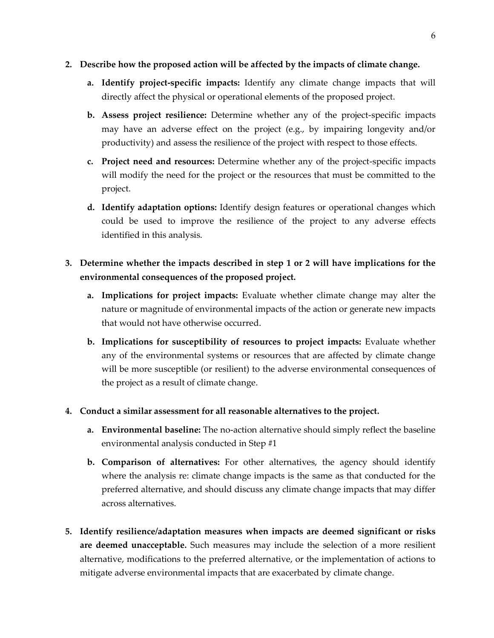- **2. Describe how the proposed action will be affected by the impacts of climate change.**
	- **a. Identify project-specific impacts:** Identify any climate change impacts that will directly affect the physical or operational elements of the proposed project.
	- **b. Assess project resilience:** Determine whether any of the project-specific impacts may have an adverse effect on the project (e.g., by impairing longevity and/or productivity) and assess the resilience of the project with respect to those effects.
	- **c. Project need and resources:** Determine whether any of the project-specific impacts will modify the need for the project or the resources that must be committed to the project.
	- **d. Identify adaptation options:** Identify design features or operational changes which could be used to improve the resilience of the project to any adverse effects identified in this analysis.
- **3. Determine whether the impacts described in step 1 or 2 will have implications for the environmental consequences of the proposed project.**
	- **a. Implications for project impacts:** Evaluate whether climate change may alter the nature or magnitude of environmental impacts of the action or generate new impacts that would not have otherwise occurred.
	- **b. Implications for susceptibility of resources to project impacts:** Evaluate whether any of the environmental systems or resources that are affected by climate change will be more susceptible (or resilient) to the adverse environmental consequences of the project as a result of climate change.
- **4. Conduct a similar assessment for all reasonable alternatives to the project.**
	- **a. Environmental baseline:** The no-action alternative should simply reflect the baseline environmental analysis conducted in Step #1
	- **b. Comparison of alternatives:** For other alternatives, the agency should identify where the analysis re: climate change impacts is the same as that conducted for the preferred alternative, and should discuss any climate change impacts that may differ across alternatives.
- **5. Identify resilience/adaptation measures when impacts are deemed significant or risks are deemed unacceptable.** Such measures may include the selection of a more resilient alternative, modifications to the preferred alternative, or the implementation of actions to mitigate adverse environmental impacts that are exacerbated by climate change.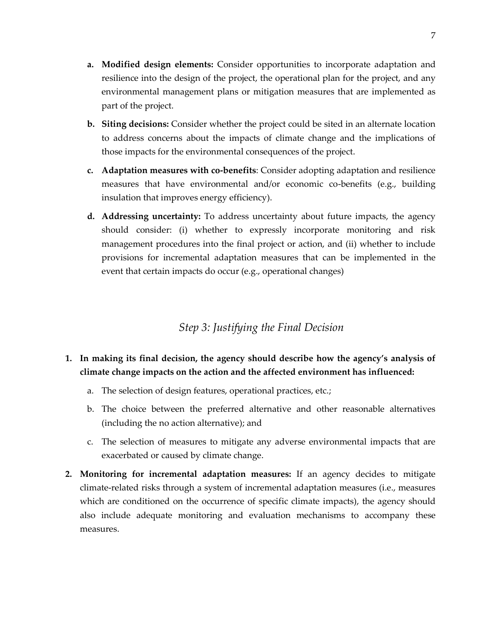- **a. Modified design elements:** Consider opportunities to incorporate adaptation and resilience into the design of the project, the operational plan for the project, and any environmental management plans or mitigation measures that are implemented as part of the project.
- **b. Siting decisions:** Consider whether the project could be sited in an alternate location to address concerns about the impacts of climate change and the implications of those impacts for the environmental consequences of the project.
- **c. Adaptation measures with co-benefits**: Consider adopting adaptation and resilience measures that have environmental and/or economic co-benefits (e.g., building insulation that improves energy efficiency).
- **d. Addressing uncertainty:** To address uncertainty about future impacts, the agency should consider: (i) whether to expressly incorporate monitoring and risk management procedures into the final project or action, and (ii) whether to include provisions for incremental adaptation measures that can be implemented in the event that certain impacts do occur (e.g., operational changes)

### *Step 3: Justifying the Final Decision*

### **1. In making its final decision, the agency should describe how the agency's analysis of climate change impacts on the action and the affected environment has influenced:**

- a. The selection of design features, operational practices, etc.;
- b. The choice between the preferred alternative and other reasonable alternatives (including the no action alternative); and
- c. The selection of measures to mitigate any adverse environmental impacts that are exacerbated or caused by climate change.
- **2. Monitoring for incremental adaptation measures:** If an agency decides to mitigate climate-related risks through a system of incremental adaptation measures (i.e., measures which are conditioned on the occurrence of specific climate impacts), the agency should also include adequate monitoring and evaluation mechanisms to accompany these measures.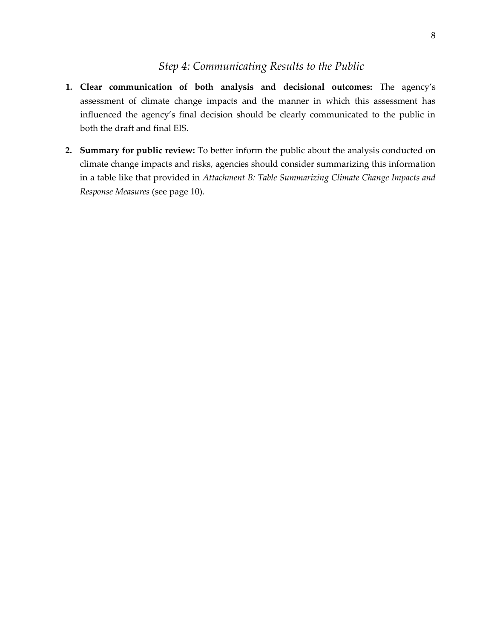#### *Step 4: Communicating Results to the Public*

- **1. Clear communication of both analysis and decisional outcomes:** The agency's assessment of climate change impacts and the manner in which this assessment has influenced the agency's final decision should be clearly communicated to the public in both the draft and final EIS.
- **2. Summary for public review:** To better inform the public about the analysis conducted on climate change impacts and risks, agencies should consider summarizing this information in a table like that provided in *Attachment B: Table Summarizing Climate Change Impacts and Response Measures* (see page 10).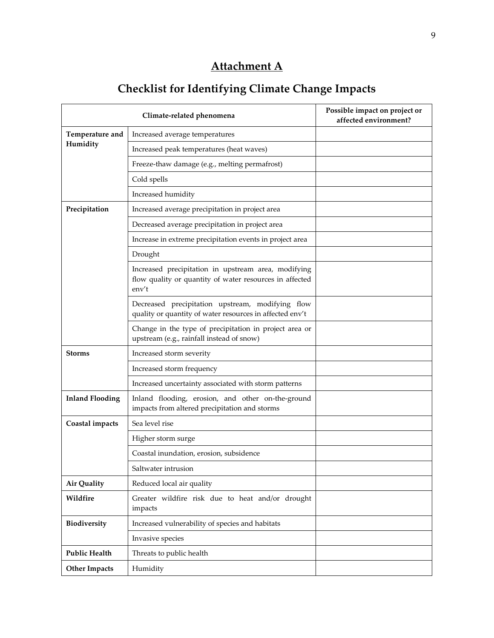# **Attachment A**

# **Checklist for Identifying Climate Change Impacts**

|                        | Climate-related phenomena                                                                                               | Possible impact on project or<br>affected environment? |
|------------------------|-------------------------------------------------------------------------------------------------------------------------|--------------------------------------------------------|
| Temperature and        | Increased average temperatures                                                                                          |                                                        |
| Humidity               | Increased peak temperatures (heat waves)                                                                                |                                                        |
|                        | Freeze-thaw damage (e.g., melting permafrost)                                                                           |                                                        |
|                        | Cold spells                                                                                                             |                                                        |
|                        | Increased humidity                                                                                                      |                                                        |
| Precipitation          | Increased average precipitation in project area                                                                         |                                                        |
|                        | Decreased average precipitation in project area                                                                         |                                                        |
|                        | Increase in extreme precipitation events in project area                                                                |                                                        |
|                        | Drought                                                                                                                 |                                                        |
|                        | Increased precipitation in upstream area, modifying<br>flow quality or quantity of water resources in affected<br>env't |                                                        |
|                        | Decreased precipitation upstream, modifying flow<br>quality or quantity of water resources in affected env't            |                                                        |
|                        | Change in the type of precipitation in project area or<br>upstream (e.g., rainfall instead of snow)                     |                                                        |
| <b>Storms</b>          | Increased storm severity                                                                                                |                                                        |
|                        | Increased storm frequency                                                                                               |                                                        |
|                        | Increased uncertainty associated with storm patterns                                                                    |                                                        |
| <b>Inland Flooding</b> | Inland flooding, erosion, and other on-the-ground<br>impacts from altered precipitation and storms                      |                                                        |
| Coastal impacts        | Sea level rise                                                                                                          |                                                        |
|                        | Higher storm surge                                                                                                      |                                                        |
|                        | Coastal inundation, erosion, subsidence                                                                                 |                                                        |
|                        | Saltwater intrusion                                                                                                     |                                                        |
| <b>Air Quality</b>     | Reduced local air quality                                                                                               |                                                        |
| Wildfire               | Greater wildfire risk due to heat and/or drought<br>impacts                                                             |                                                        |
| Biodiversity           | Increased vulnerability of species and habitats                                                                         |                                                        |
|                        | Invasive species                                                                                                        |                                                        |
| <b>Public Health</b>   | Threats to public health                                                                                                |                                                        |
| <b>Other Impacts</b>   | Humidity                                                                                                                |                                                        |